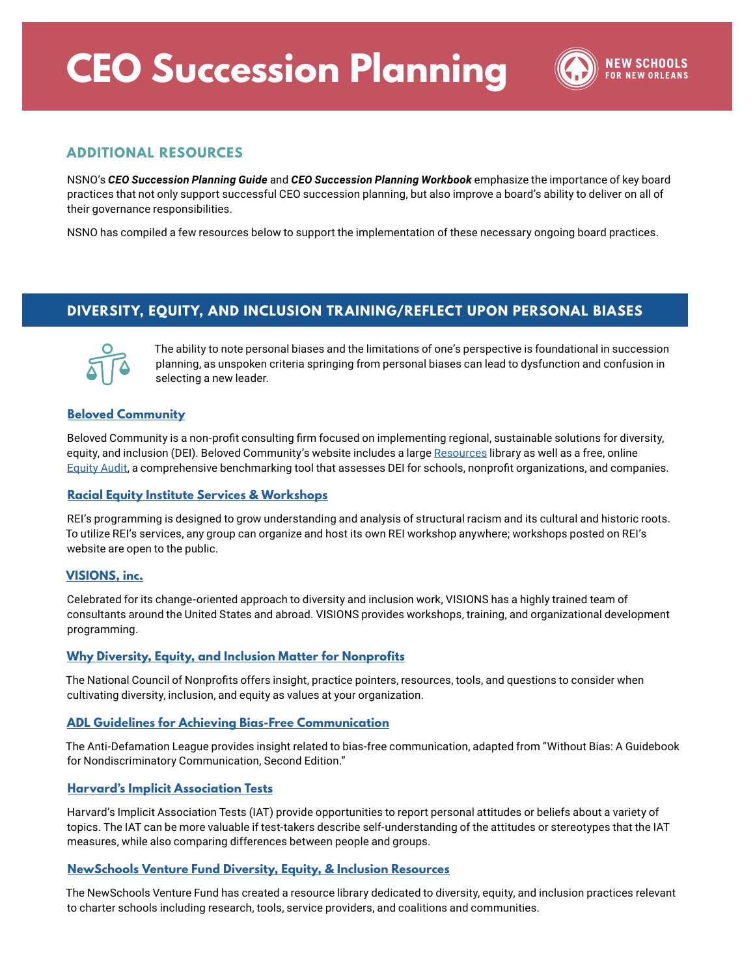# **CEO Succession Planning**



### **ADDITIONAL RESOURCES**

NSNO's *CEO Succession Planning Guide* and *CEO Succession Planning Workbook* emphasize the importance of key board practices that not only support successful CEO succession planning, but also improve a board's ability to deliver on all of their governance responsibilities.

NSNO has compiled a few resources below to support the implementation of these necessary ongoing board practices.

## **DIVERSITY, EQUITY, AND INCLUSION TRAINING/REFLECT UPON PERSONAL BIASES**



The ability to note personal biases and the limitations of one's perspective is foundational in succession planning, as unspoken criteria springing from personal biases can lead to dysfunction and confusion in selecting a new leader.

#### **[Beloved Community](https://www.wearebeloved.org/)**

Beloved Community is a non-profit consulting firm focused on implementing regional, sustainable solutions for diversity, equity, and inclusion (DEI). Beloved Community's website includes a large [Resources](https://www.wearebeloved.org/resources) library as well as a free, online [Equity Audit](https://www.wearebeloved.org/equity-audit), a comprehensive benchmarking tool that assesses DEI for schools, nonprofit organizations, and companies.

#### **[Racial Equity Institute Services & Workshops](https://www.racialequityinstitute.com/ourservices)**

REI's programming is designed to grow understanding and analysis of structural racism and its cultural and historic roots. To utilize REI's services, any group can organize and host its own REI workshop anywhere; workshops posted on REI's website are open to the public.

#### **[VISIONS, inc.](https://www.visions-inc.org/)**

Celebrated for its change-oriented approach to diversity and inclusion work, VISIONS has a highly trained team of consultants around the United States and abroad. VISIONS provides workshops, training, and organizational development programming.

#### **[Why Diversity, Equity, and Inclusion Matter for Nonprofits](https://www.councilofnonprofits.org/tools-resources/why-diversity-equity-and-inclusion-matter-nonprofits)**

The National Council of Nonprofits offers insight, practice pointers, resources, tools, and questions to consider when cultivating diversity, inclusion, and equity as values at your organization.

#### **[ADL Guidelines for Achieving Bias-Free Communication](https://www.adl.org/education/resources/tools-and-strategies/guidelines-for-achieving-bias-free-communication)**

The Anti-Defamation League provides insight related to bias-free communication, adapted from "Without Bias: A Guidebook for Nondiscriminatory Communication, Second Edition."

#### **[Harvard's Implicit Association Tests](https://implicit.harvard.edu/implicit/takeatest.html)**

Harvard's Implicit Association Tests (IAT) provide opportunities to report personal attitudes or beliefs about a variety of topics. The IAT can be more valuable if test-takers describe self-understanding of the attitudes or stereotypes that the IAT measures, while also comparing differences between people and groups.

#### **[NewSchools Venture Fund Diversity, Equity, & Inclusion Resources](https://www.newschools.org/about-us/investment-areas/diverse-leaders/diversity-equity-inclusion-resources/#COALITIONS)**

The NewSchools Venture Fund has created a resource library dedicated to diversity, equity, and inclusion practices relevant to charter schools including research, tools, service providers, and coalitions and communities.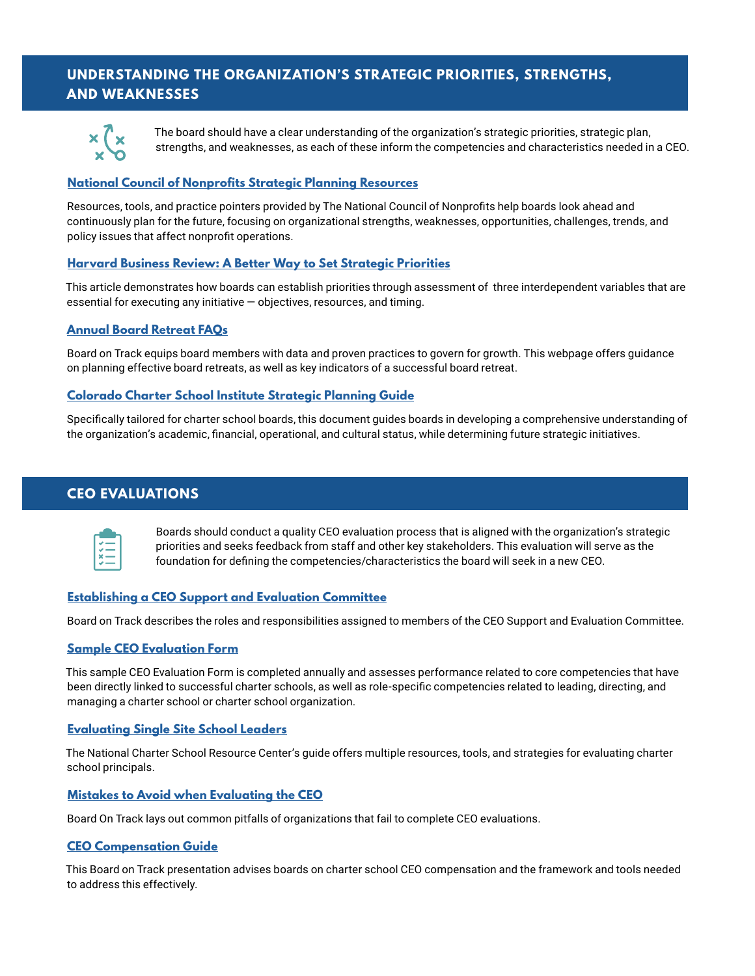## **UNDERSTANDING THE ORGANIZATION'S STRATEGIC PRIORITIES, STRENGTHS, AND WEAKNESSES**



The board should have a clear understanding of the organization's strategic priorities, strategic plan, strengths, and weaknesses, as each of these inform the competencies and characteristics needed in a CEO.

#### **[National Council of Nonprofits Strategic Planning Resources](https://www.councilofnonprofits.org/tools-resources/strategic-planning-nonprofits)**

Resources, tools, and practice pointers provided by The National Council of Nonprofits help boards look ahead and continuously plan for the future, focusing on organizational strengths, weaknesses, opportunities, challenges, trends, and policy issues that affect nonprofit operations.

#### **[Harvard Business Review: A Better Way to Set Strategic Priorities](https://hbr.org/2017/02/a-better-way-to-set-strategic-priorities)**

This article demonstrates how boards can establish priorities through assessment of three interdependent variables that are essential for executing any initiative — objectives, resources, and timing.

#### **[Annual Board Retreat FAQs](https://boardontrack.com/blog/faqs-about-board-retreats/)**

Board on Track equips board members with data and proven practices to govern for growth. This webpage offers guidance on planning effective board retreats, as well as key indicators of a successful board retreat.

#### **[Colorado Charter School Institute Strategic Planning Guide](https://www.csi.state.co.us/wp-content/uploads/2019/04/CSI-Strategic-Planning-Guide.pdf)**

Specifically tailored for charter school boards, this document guides boards in developing a comprehensive understanding of the organization's academic, financial, operational, and cultural status, while determining future strategic initiatives.

## **CEO EVALUATIONS**



Boards should conduct a quality CEO evaluation process that is aligned with the organization's strategic priorities and seeks feedback from staff and other key stakeholders. This evaluation will serve as the foundation for defining the competencies/characteristics the board will seek in a new CEO.

#### **[Establishing a CEO Support and Evaluation Committee](https://pages2.boardontrack.com/hubfs/CEO%20Support%20&%20Eval%20Committee%20description%20(1).pdf)**

Board on Track describes the roles and responsibilities assigned to members of the CEO Support and Evaluation Committee.

#### **[Sample CEO Evaluation Form](http://mountainsongschool.com/wp-content/uploads/FINAL-CEO-Evaluation-Survey-Template-2.pdf)**

This sample CEO Evaluation Form is completed annually and assesses performance related to core competencies that have been directly linked to successful charter schools, as well as role-specific competencies related to leading, directing, and managing a charter school or charter school organization.

#### **[Evaluating Single Site School Leaders](https://charterschoolcenter.ed.gov/sites/default/files/files/field_publication_attachment/1163_NCS_Key_Issue_Evaluating_Principals_d3_0.pdf)**

The National Charter School Resource Center's guide offers multiple resources, tools, and strategies for evaluating charter school principals.

#### **[Mistakes to Avoid when Evaluating the CEO](https://boardontrack.com/blog/evaluate-charter-school-board-leader/)**

Board On Track lays out common pitfalls of organizations that fail to complete CEO evaluations.

#### **[CEO Compensation Guide](https://pages2.boardontrack.com/hubfs/CEO%20Compensation%20Webinar%20-%20BoardOnTrack.pdf)**

This Board on Track presentation advises boards on charter school CEO compensation and the framework and tools needed to address this effectively.